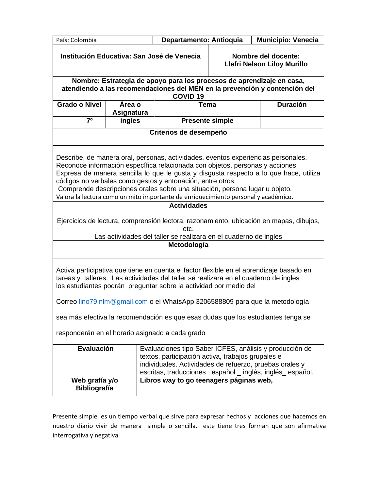|                                                                                                                                                                                                                                                                                                                                                                                                                                                                                                                     |                                                                                                                                                                                                                                     | Institución Educativa: San José de Venecia<br>Nombre del docente:<br><b>Llefri Nelson Liloy Murillo</b> |                 |  |  |  |
|---------------------------------------------------------------------------------------------------------------------------------------------------------------------------------------------------------------------------------------------------------------------------------------------------------------------------------------------------------------------------------------------------------------------------------------------------------------------------------------------------------------------|-------------------------------------------------------------------------------------------------------------------------------------------------------------------------------------------------------------------------------------|---------------------------------------------------------------------------------------------------------|-----------------|--|--|--|
| Nombre: Estrategia de apoyo para los procesos de aprendizaje en casa,<br>atendiendo a las recomendaciones del MEN en la prevención y contención del<br><b>COVID 19</b>                                                                                                                                                                                                                                                                                                                                              |                                                                                                                                                                                                                                     |                                                                                                         |                 |  |  |  |
| <b>Grado o Nivel</b><br>Área o<br>Asignatura                                                                                                                                                                                                                                                                                                                                                                                                                                                                        | Tema                                                                                                                                                                                                                                |                                                                                                         | <b>Duración</b> |  |  |  |
| 7 <sup>0</sup><br>ingles                                                                                                                                                                                                                                                                                                                                                                                                                                                                                            | <b>Presente simple</b>                                                                                                                                                                                                              |                                                                                                         |                 |  |  |  |
| Criterios de desempeño                                                                                                                                                                                                                                                                                                                                                                                                                                                                                              |                                                                                                                                                                                                                                     |                                                                                                         |                 |  |  |  |
| Describe, de manera oral, personas, actividades, eventos experiencias personales.<br>Reconoce información específica relacionada con objetos, personas y acciones<br>Expresa de manera sencilla lo que le gusta y disgusta respecto a lo que hace, utiliza<br>códigos no verbales como gestos y entonación, entre otros,<br>Comprende descripciones orales sobre una situación, persona lugar u objeto.<br>Valora la lectura como un mito importante de enriquecimiento personal y académico.<br><b>Actividades</b> |                                                                                                                                                                                                                                     |                                                                                                         |                 |  |  |  |
| Ejercicios de lectura, comprensión lectora, razonamiento, ubicación en mapas, dibujos,<br>etc.<br>Las actividades del taller se realizara en el cuaderno de ingles                                                                                                                                                                                                                                                                                                                                                  |                                                                                                                                                                                                                                     |                                                                                                         |                 |  |  |  |
| Metodología                                                                                                                                                                                                                                                                                                                                                                                                                                                                                                         |                                                                                                                                                                                                                                     |                                                                                                         |                 |  |  |  |
| Activa participativa que tiene en cuenta el factor flexible en el aprendizaje basado en<br>tareas y talleres. Las actividades del taller se realizara en el cuaderno de ingles<br>los estudiantes podrán preguntar sobre la actividad por medio del                                                                                                                                                                                                                                                                 |                                                                                                                                                                                                                                     |                                                                                                         |                 |  |  |  |
| Correo lino79.nlm@gmail.com o el WhatsApp 3206588809 para que la metodología                                                                                                                                                                                                                                                                                                                                                                                                                                        |                                                                                                                                                                                                                                     |                                                                                                         |                 |  |  |  |
| sea más efectiva la recomendación es que esas dudas que los estudiantes tenga se                                                                                                                                                                                                                                                                                                                                                                                                                                    |                                                                                                                                                                                                                                     |                                                                                                         |                 |  |  |  |
| responderán en el horario asignado a cada grado                                                                                                                                                                                                                                                                                                                                                                                                                                                                     |                                                                                                                                                                                                                                     |                                                                                                         |                 |  |  |  |
| Evaluación                                                                                                                                                                                                                                                                                                                                                                                                                                                                                                          | Evaluaciones tipo Saber ICFES, análisis y producción de<br>textos, participación activa, trabajos grupales e<br>individuales. Actividades de refuerzo, pruebas orales y<br>escritas, traducciones español _ inglés, inglés español. |                                                                                                         |                 |  |  |  |
| Libros way to go teenagers páginas web,<br>Web grafía y/o<br><b>Bibliografía</b>                                                                                                                                                                                                                                                                                                                                                                                                                                    |                                                                                                                                                                                                                                     |                                                                                                         |                 |  |  |  |

Presente simple es un tiempo verbal que sirve para expresar hechos y acciones que hacemos en nuestro diario vivir de manera simple o sencilla. este tiene tres forman que son afirmativa interrogativa y negativa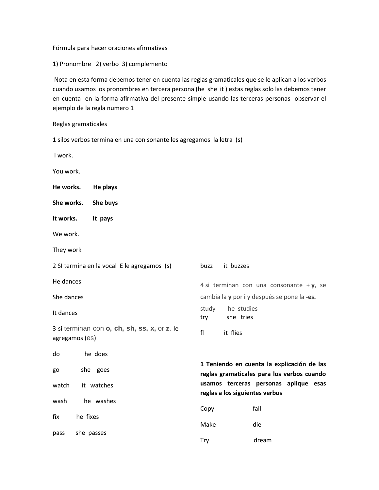#### Fórmula para hacer oraciones afirmativas

1) Pronombre 2) verbo 3) complemento

Nota en esta forma debemos tener en cuenta las reglas gramaticales que se le aplican a los verbos cuando usamos los pronombres en tercera persona (he she it ) estas reglas solo las debemos tener en cuenta en la forma afirmativa del presente simple usando las terceras personas observar el ejemplo de la regla numero 1

Reglas gramaticales

| 1 silos verbos termina en una con sonante les agregamos la letra (s) |  |  |
|----------------------------------------------------------------------|--|--|
|----------------------------------------------------------------------|--|--|

I work.

You work.

- **He works. He plays**
- **She works. She buys**
- **It works. It pays**

We work.

They work

2 SI termina en la vocal E le agregamos (s) He dances She dances It dances 3 si terminan con **o, ch, sh, ss, x,** or **z**. le agregamos (es) do he does go she goes watch it watches wash he washes fix he fixes pass she passes buzz it buzzes 4 si terminan con una consonante + **y**, se cambia la **y** por **i** y después se pone la **-es.** study he studies try she tries fl it flies **1 Teniendo en cuenta la explicación de las reglas gramaticales para los verbos cuando usamos terceras personas aplique esas reglas a los siguientes verbos**  Copy fall Make die

Try dream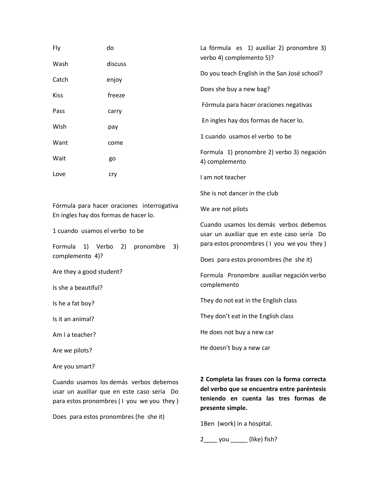| Fly                                                                                 | do      | La fórmula es 1) auxiliar 2) pronombre 3)                                            |  |
|-------------------------------------------------------------------------------------|---------|--------------------------------------------------------------------------------------|--|
| Wash                                                                                | discuss | verbo 4) complemento 5)?                                                             |  |
| Catch                                                                               | enjoy   | Do you teach English in the San José school?                                         |  |
| <b>Kiss</b>                                                                         | freeze  | Does she buy a new bag?                                                              |  |
| Pass                                                                                | carry   | Fórmula para hacer oraciones negativas                                               |  |
| Wish                                                                                | pay     | En ingles hay dos formas de hacer lo.                                                |  |
| Want                                                                                | come    | 1 cuando usamos el verbo to be                                                       |  |
| Wait                                                                                | go      | Formula 1) pronombre 2) verbo 3) negación<br>4) complemento                          |  |
| Love                                                                                | cry     | I am not teacher                                                                     |  |
|                                                                                     |         | She is not dancer in the club                                                        |  |
| Fórmula para hacer oraciones interrogativa<br>En ingles hay dos formas de hacer lo. |         | We are not pilots                                                                    |  |
| 1 cuando usamos el verbo to be                                                      |         | Cuando usamos los demás verbos debemos<br>usar un auxiliar que en este caso sería Do |  |
| Formula<br>1)<br>Verbo<br>pronombre<br>2)<br>3)<br>complemento 4)?                  |         | para estos pronombres (I you we you they)                                            |  |
|                                                                                     |         | Does para estos pronombres (he she it)                                               |  |
| Are they a good student?<br>Is she a beautiful?                                     |         | Formula Pronombre auxiliar negación verbo<br>complemento                             |  |
| Is he a fat boy?                                                                    |         | They do not eat in the English class                                                 |  |
| Is it an animal?                                                                    |         | They don't eat in the English class                                                  |  |
| Am I a teacher?                                                                     |         | He does not buy a new car                                                            |  |
|                                                                                     |         | He doesn't buy a new car                                                             |  |
| Are we pilots?                                                                      |         |                                                                                      |  |
| Are you smart?                                                                      |         |                                                                                      |  |
| Cuando usamos los demás verbos debemos                                              |         | 2 Completa las frases con la forma correcta                                          |  |

usar un auxiliar que en este caso sería Do para estos pronombres ( I you we you they )

Does para estos pronombres (he she it)

**del verbo que se encuentra entre paréntesis teniendo en cuenta las tres formas de presente simple.**

1Ben (work) in a hospital.

2\_\_\_\_ you \_\_\_\_\_ (like) fish?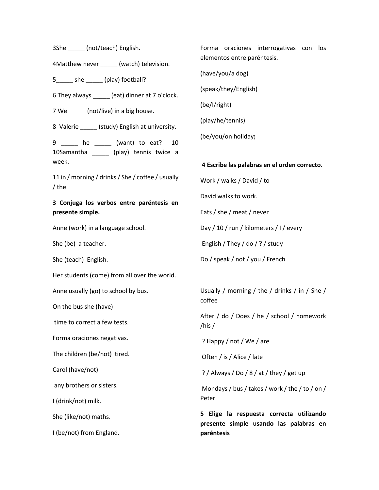3She (not/teach) English.

4Matthew never (watch) television.

5 \_\_\_\_\_ she \_\_\_\_\_\_ (play) football?

6 They always \_\_\_\_\_ (eat) dinner at 7 o'clock.

7 We \_\_\_\_\_\_ (not/live) in a big house.

8 Valerie \_\_\_\_\_\_ (study) English at university.

9 \_\_\_\_\_ he \_\_\_\_\_ (want) to eat? 10 10Samantha \_\_\_\_\_ (play) tennis twice a week.

11 in / morning / drinks / She / coffee / usually / the

# **3 Conjuga los verbos entre paréntesis en presente simple.**

Anne (work) in a language school.

She (be) a teacher.

She (teach) English.

Her students (come) from all over the world.

Anne usually (go) to school by bus.

On the bus she (have)

time to correct a few tests.

Forma oraciones negativas.

The children (be/not) tired.

Carol (have/not)

any brothers or sisters.

I (drink/not) milk.

She (like/not) maths.

I (be/not) from England.

Forma oraciones interrogativas con los elementos entre paréntesis.

(have/you/a dog)

(speak/they/English)

(be/I/right)

(play/he/tennis)

(be/you/on holiday)

#### **4 Escribe las palabras en el orden correcto.**

Work / walks / David / to

David walks to work.

Eats / she / meat / never

Day / 10 / run / kilometers / I / every

English / They / do / ? / study

Do / speak / not / you / French

Usually / morning / the / drinks / in / She / coffee

After / do / Does / he / school / homework /his /

? Happy / not / We / are

Often / is / Alice / late

? / Always / Do / 8 / at / they / get up

Mondays / bus / takes / work / the / to / on / Peter

**5 Elige la respuesta correcta utilizando presente simple usando las palabras en paréntesis**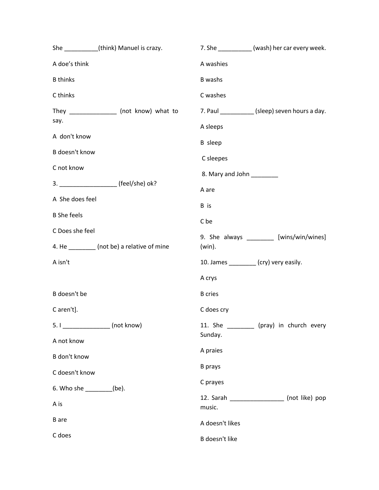|                    | She (think) Manuel is crazy.                                     |                                          | 7. She ____________ (wash) her car every week. |  |
|--------------------|------------------------------------------------------------------|------------------------------------------|------------------------------------------------|--|
| A doe's think      |                                                                  |                                          |                                                |  |
| <b>B</b> thinks    |                                                                  | <b>B</b> washs                           |                                                |  |
| C thinks           |                                                                  | C washes                                 |                                                |  |
|                    | They ________________ (not know) what to                         |                                          | 7. Paul ___________ (sleep) seven hours a day. |  |
| say.               |                                                                  | A sleeps                                 |                                                |  |
| A don't know       |                                                                  |                                          |                                                |  |
| B doesn't know     |                                                                  | C sleepes                                |                                                |  |
| C not know         |                                                                  | 8. Mary and John                         |                                                |  |
|                    | 3. ______________________ (feel/she) ok?                         | A are                                    |                                                |  |
| A She does feel    |                                                                  | B is                                     |                                                |  |
| <b>B</b> She feels |                                                                  | C be                                     |                                                |  |
| C Does she feel    |                                                                  | 9. She always _________ [wins/win/wines] |                                                |  |
|                    | 4. He __________ (not be) a relative of mine                     | (win).                                   |                                                |  |
| A isn't            |                                                                  | 10. James ________ (cry) very easily.    |                                                |  |
|                    |                                                                  | A crys                                   |                                                |  |
| B doesn't be       |                                                                  | <b>B</b> cries                           |                                                |  |
| C aren't].         |                                                                  | C does cry                               |                                                |  |
|                    | 5. I ___________________ (not know)<br>6. Who she _________(be). |                                          | 11. She __________ (pray) in church every      |  |
| A not know         |                                                                  | Sunday.                                  |                                                |  |
| B don't know       |                                                                  | A praies                                 |                                                |  |
| C doesn't know     |                                                                  | <b>B</b> prays                           |                                                |  |
|                    |                                                                  | C prayes                                 |                                                |  |
| A is               |                                                                  | music.                                   | 12. Sarah ____________________ (not like) pop  |  |
| <b>B</b> are       |                                                                  | A doesn't likes                          |                                                |  |
| C does             |                                                                  | B doesn't like                           |                                                |  |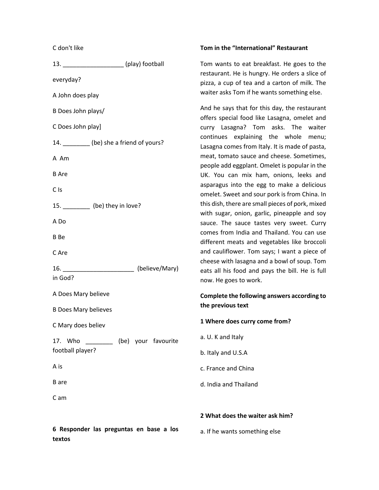## C don't like

| 13. _________________________(play) football |                     |
|----------------------------------------------|---------------------|
| everyday?                                    |                     |
| A John does play                             |                     |
| B Does John plays/                           |                     |
| C Does John play]                            |                     |
| 14. _________(be) she a friend of yours?     |                     |
| A Am                                         |                     |
| <b>B</b> Are                                 |                     |
| C <sub>Is</sub>                              |                     |
| 15. __________ (be) they in love?            |                     |
| A Do                                         |                     |
| B Be                                         |                     |
| C Are                                        |                     |
| 16.                                          | (believe/Mary)      |
| in God?                                      |                     |
| A Does Mary believe                          |                     |
| <b>B Does Mary believes</b>                  |                     |
| C Mary does believ                           |                     |
| 17. Who<br>football player?                  | (be) your favourite |
| A is                                         |                     |
| <b>B</b> are                                 |                     |
| C am                                         |                     |
|                                              |                     |

# **6 Responder las preguntas en base a los textos**

#### **Tom in the "International" Restaurant**

Tom wants to eat breakfast. He goes to the restaurant. He is hungry. He orders a slice of pizza, a cup of tea and a carton of milk. The waiter asks Tom if he wants something else.

And he says that for this day, the restaurant offers special food like Lasagna, omelet and curry Lasagna? Tom asks. The waiter continues explaining the whole menu; Lasagna comes from Italy. It is made of pasta, meat, tomato sauce and cheese. Sometimes, people add eggplant. Omelet is popular in the UK. You can mix ham, onions, leeks and asparagus into the egg to make a delicious omelet. Sweet and sour pork is from China. In this dish, there are small pieces of pork, mixed with sugar, onion, garlic, pineapple and soy sauce. The sauce tastes very sweet. Curry comes from India and Thailand. You can use different meats and vegetables like broccoli and cauliflower. Tom says; I want a piece of cheese with lasagna and a bowl of soup. Tom eats all his food and pays the bill. He is full now. He goes to work.

# **Complete the following answers according to the previous text**

## **1 Where does curry come from?**

- a. U. K and Italy
- b. Italy and U.S.A
- c. France and China
- d. India and Thailand

## **2 What does the waiter ask him?**

a. If he wants something else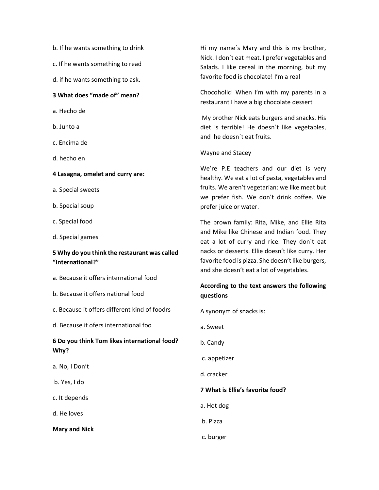- b. If he wants something to drink
- c. If he wants something to read
- d. if he wants something to ask.

## **3 What does "made of" mean?**

- a. Hecho de
- b. Junto a
- c. Encima de
- d. hecho en
- **4 Lasagna, omelet and curry are:**
- a. Special sweets
- b. Special soup
- c. Special food
- d. Special games

# **5 Why do you think the restaurant was called "International?"**

- a. Because it offers international food
- b. Because it offers national food
- c. Because it offers different kind of foodrs
- d. Because it ofers international foo

# **6 Do you think Tom likes international food? Why?**

- a. No, I Don't
- b. Yes, I do
- c. It depends
- d. He loves

**Mary and Nick**

Hi my name´s Mary and this is my brother, Nick. I don´t eat meat. I prefer vegetables and Salads. I like cereal in the morning, but my favorite food is chocolate! I'm a real

Chocoholic! When I'm with my parents in a restaurant I have a big chocolate dessert

My brother Nick eats burgers and snacks. His diet is terrible! He doesn´t like vegetables, and he doesn´t eat fruits.

#### Wayne and Stacey

We're P.E teachers and our diet is very healthy. We eat a lot of pasta, vegetables and fruits. We aren't vegetarian: we like meat but we prefer fish. We don't drink coffee. We prefer juice or water.

The brown family: Rita, Mike, and Ellie Rita and Mike like Chinese and Indian food. They eat a lot of curry and rice. They don´t eat nacks or desserts. Ellie doesn't like curry. Her favorite food is pizza. She doesn't like burgers, and she doesn't eat a lot of vegetables.

# **According to the text answers the following questions**

A synonym of snacks is:

- a. Sweet
- b. Candy
- c. appetizer
- d. cracker

## **7 What is Ellie's favorite food?**

- a. Hot dog
- b. Pizza
- c. burger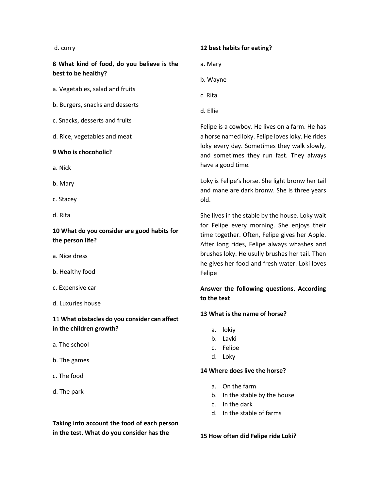#### d. curry

**8 What kind of food, do you believe is the best to be healthy?**

a. Vegetables, salad and fruits

- b. Burgers, snacks and desserts
- c. Snacks, desserts and fruits

d. Rice, vegetables and meat

#### **9 Who is chocoholic?**

- a. Nick
- b. Mary
- c. Stacey
- d. Rita

# **10 What do you consider are good habits for the person life?**

- a. Nice dress
- b. Healthy food
- c. Expensive car
- d. Luxuries house

# 11 **What obstacles do you consider can affect in the children growth?**

- a. The school
- b. The games
- c. The food
- d. The park

# **12 best habits for eating?**

- a. Mary
- b. Wayne
- c. Rita
- d. Ellie

Felipe is a cowboy. He lives on a farm. He has a horse named loky. Felipe loves loky. He rides loky every day. Sometimes they walk slowly, and sometimes they run fast. They always have a good time.

Loky is Felipe's horse. She light bronw her tail and mane are dark bronw. She is three years old.

She lives in the stable by the house. Loky wait for Felipe every morning. She enjoys their time together. Often, Felipe gives her Apple. After long rides, Felipe always whashes and brushes loky. He usully brushes her tail. Then he gives her food and fresh water. Loki loves Felipe

# **Answer the following questions. According to the text**

#### **13 What is the name of horse?**

- a. lokiy
- b. Layki
- c. Felipe
- d. Loky

#### **14 Where does live the horse?**

- a. On the farm
- b. In the stable by the house
- c. In the dark
- d. In the stable of farms

**15 How often did Felipe ride Loki?**

**Taking into account the food of each person in the test. What do you consider has the**